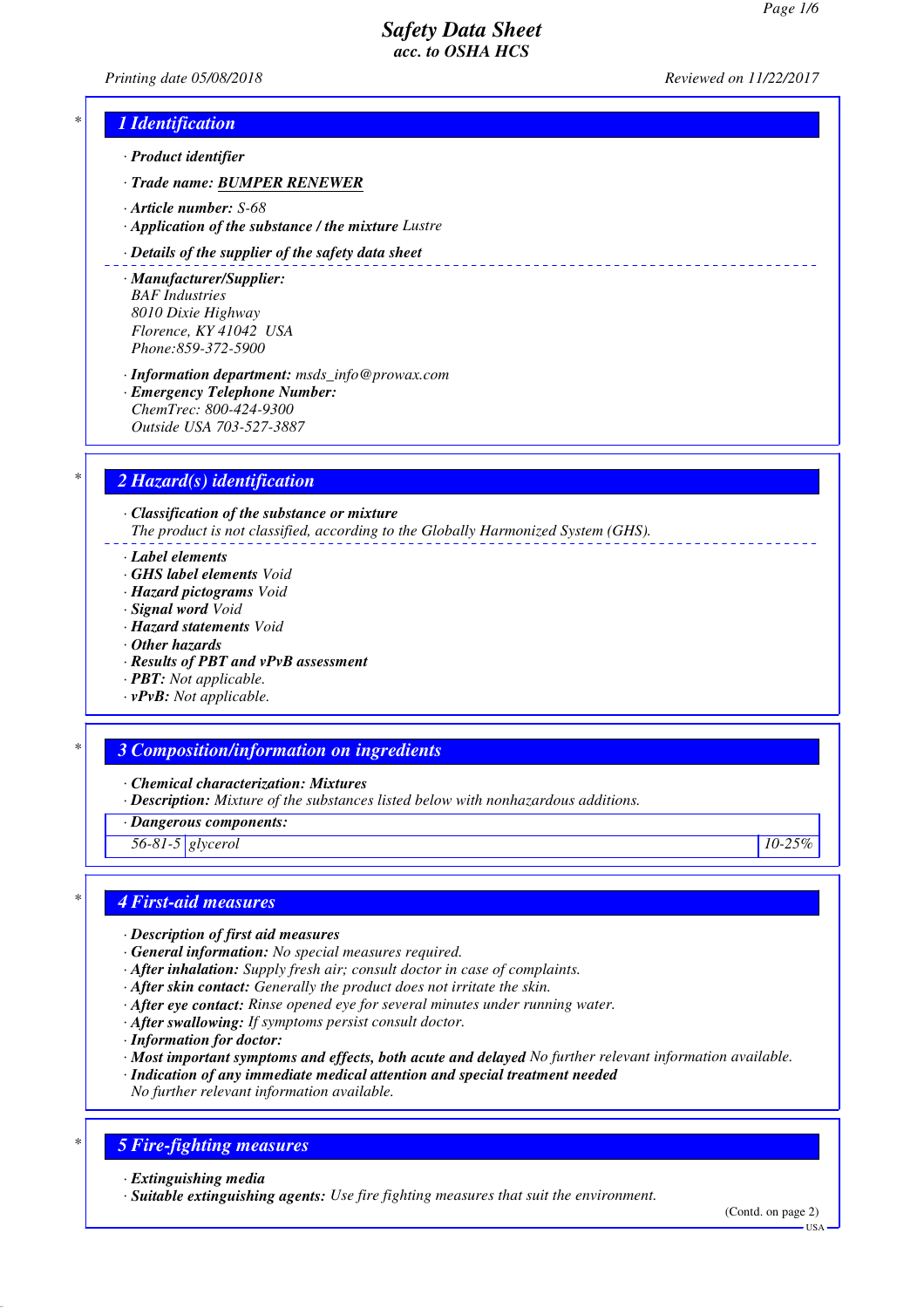*Printing date 05/08/2018 Reviewed on 11/22/2017*

# *\* 1 Identification*

- *· Product identifier*
- *· Trade name: BUMPER RENEWER*
- *· Article number: S-68*
- *· Application of the substance / the mixture Lustre*

### *· Details of the supplier of the safety data sheet*

- *· Manufacturer/Supplier: BAF Industries 8010 Dixie Highway Florence, KY 41042 USA Phone:859-372-5900*
- *· Information department: msds\_info@prowax.com · Emergency Telephone Number: ChemTrec: 800-424-9300 Outside USA 703-527-3887*

# *\* 2 Hazard(s) identification*

*· Classification of the substance or mixture The product is not classified, according to the Globally Harmonized System (GHS).*

- *· Label elements*
- *· GHS label elements Void*
- *· Hazard pictograms Void*
- *· Signal word Void*
- *· Hazard statements Void*
- *· Other hazards*
- *· Results of PBT and vPvB assessment*
- *· PBT: Not applicable.*
- *· vPvB: Not applicable.*

## *\* 3 Composition/information on ingredients*

*· Chemical characterization: Mixtures*

- *· Description: Mixture of the substances listed below with nonhazardous additions.*
- *· Dangerous components:*

*56-81-5 glycerol 10-25%*

## *\* 4 First-aid measures*

- *· Description of first aid measures*
- *· General information: No special measures required.*
- *· After inhalation: Supply fresh air; consult doctor in case of complaints.*
- *· After skin contact: Generally the product does not irritate the skin.*
- *· After eye contact: Rinse opened eye for several minutes under running water.*
- *· After swallowing: If symptoms persist consult doctor.*
- *· Information for doctor:*
- *· Most important symptoms and effects, both acute and delayed No further relevant information available.*
- *· Indication of any immediate medical attention and special treatment needed*
- *No further relevant information available.*

# *\* 5 Fire-fighting measures*

*· Extinguishing media*

*· Suitable extinguishing agents: Use fire fighting measures that suit the environment.*

(Contd. on page 2)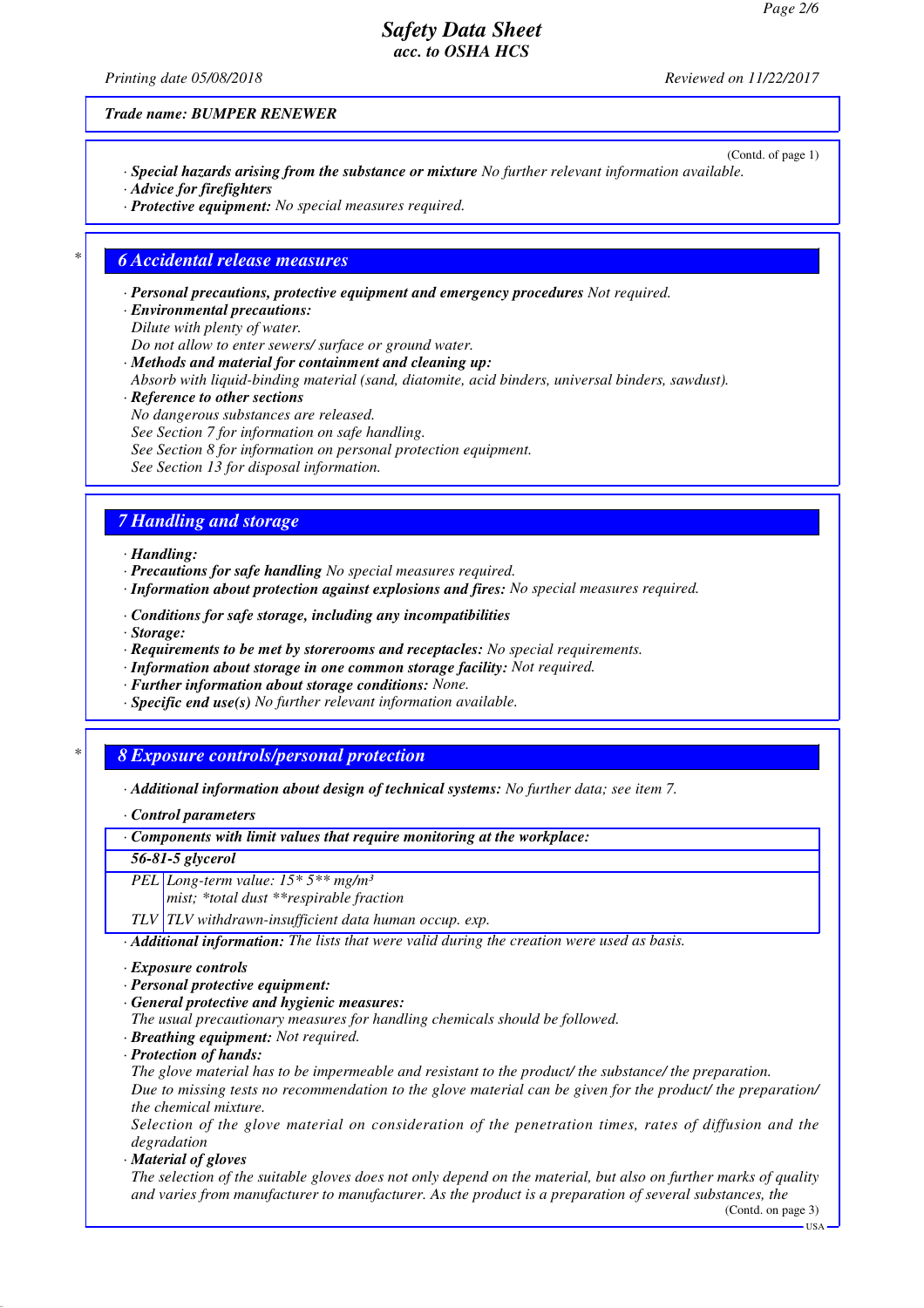*Printing date 05/08/2018 Reviewed on 11/22/2017*

(Contd. of page 1)

*Trade name: BUMPER RENEWER*

- *· Special hazards arising from the substance or mixture No further relevant information available. · Advice for firefighters*
- *· Protective equipment: No special measures required.*

### *\* 6 Accidental release measures*

*· Personal precautions, protective equipment and emergency procedures Not required.*

- *· Environmental precautions: Dilute with plenty of water.*
- *Do not allow to enter sewers/ surface or ground water.*
- *· Methods and material for containment and cleaning up:*
- *Absorb with liquid-binding material (sand, diatomite, acid binders, universal binders, sawdust).*
- *· Reference to other sections*
- *No dangerous substances are released.*
- *See Section 7 for information on safe handling.*
- *See Section 8 for information on personal protection equipment.*
- *See Section 13 for disposal information.*

## *7 Handling and storage*

- *· Handling:*
- *· Precautions for safe handling No special measures required.*
- *· Information about protection against explosions and fires: No special measures required.*
- *· Conditions for safe storage, including any incompatibilities*
- *· Storage:*
- *· Requirements to be met by storerooms and receptacles: No special requirements.*
- *· Information about storage in one common storage facility: Not required.*
- *· Further information about storage conditions: None.*
- *· Specific end use(s) No further relevant information available.*

# *\* 8 Exposure controls/personal protection*

*· Additional information about design of technical systems: No further data; see item 7.*

*· Control parameters*

*· Components with limit values that require monitoring at the workplace:*

### *56-81-5 glycerol*

*PEL Long-term value: 15\* 5\*\* mg/m³*

*mist; \*total dust \*\*respirable fraction*

*TLV TLV withdrawn-insufficient data human occup. exp.*

*· Additional information: The lists that were valid during the creation were used as basis.*

### *· Exposure controls*

- *· Personal protective equipment:*
- *· General protective and hygienic measures:*
- *The usual precautionary measures for handling chemicals should be followed.*
- *· Breathing equipment: Not required.*
- *· Protection of hands:*

*The glove material has to be impermeable and resistant to the product/ the substance/ the preparation. Due to missing tests no recommendation to the glove material can be given for the product/ the preparation/ the chemical mixture.*

*Selection of the glove material on consideration of the penetration times, rates of diffusion and the degradation*

*· Material of gloves*

*The selection of the suitable gloves does not only depend on the material, but also on further marks of quality and varies from manufacturer to manufacturer. As the product is a preparation of several substances, the*

USA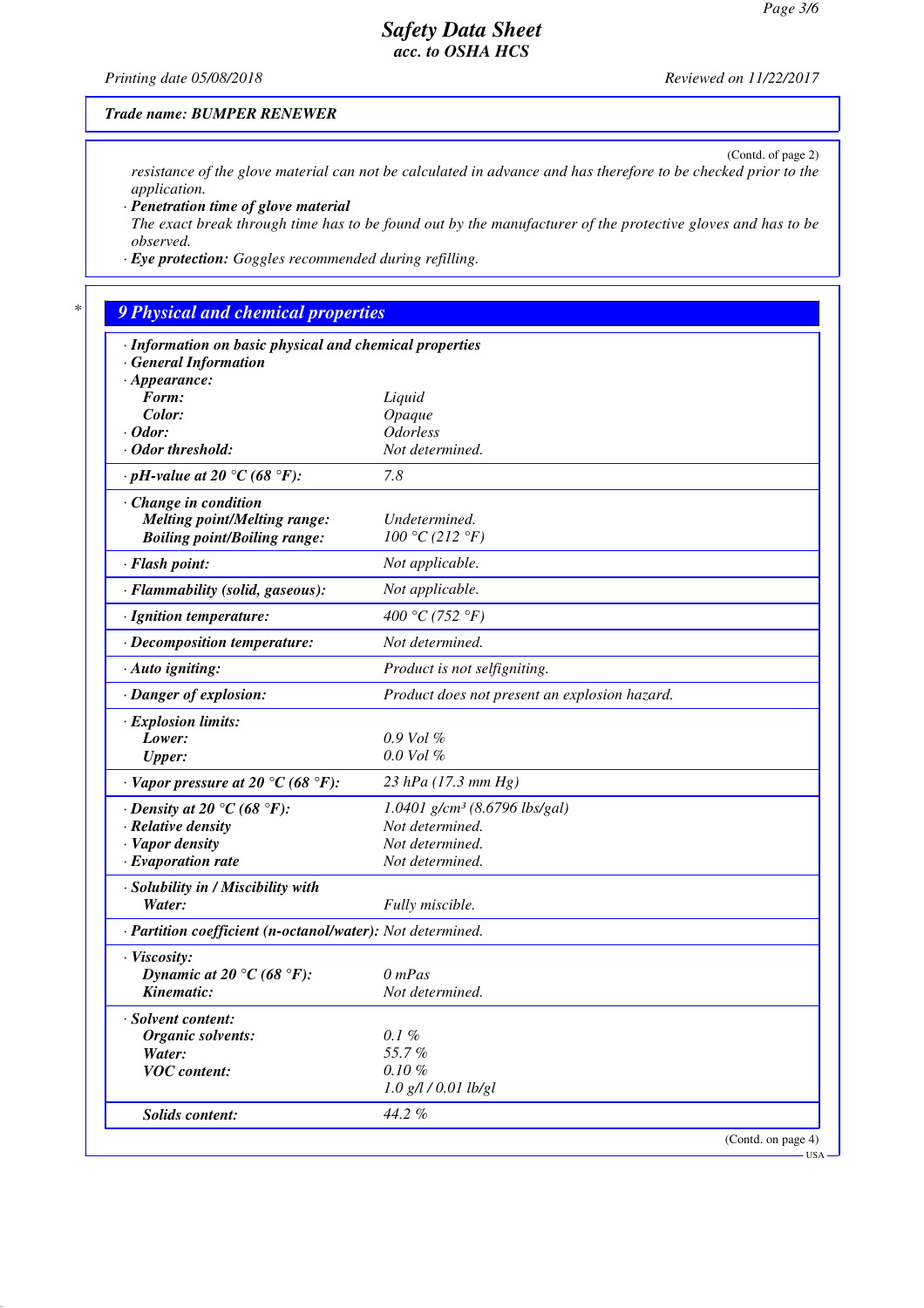(Contd. of page 2)

# *Safety Data Sheet acc. to OSHA HCS*

*Printing date 05/08/2018 Reviewed on 11/22/2017*

### *Trade name: BUMPER RENEWER*

*resistance of the glove material can not be calculated in advance and has therefore to be checked prior to the application.*

*· Penetration time of glove material*

*The exact break through time has to be found out by the manufacturer of the protective gloves and has to be observed.*

*· Eye protection: Goggles recommended during refilling.*

# *\* 9 Physical and chemical properties*

| · Information on basic physical and chemical properties    |                                               |
|------------------------------------------------------------|-----------------------------------------------|
| <b>General Information</b>                                 |                                               |
| $\cdot$ Appearance:<br>Form:                               |                                               |
| Color:                                                     | Liquid<br>Opaque                              |
| $\cdot$ Odor:                                              | <b>Odorless</b>                               |
| · Odor threshold:                                          | Not determined.                               |
| $\cdot$ pH-value at 20 °C (68 °F):                         | 7.8                                           |
|                                                            |                                               |
| $\cdot$ Change in condition                                |                                               |
| <b>Melting point/Melting range:</b>                        | Undetermined.                                 |
| <b>Boiling point/Boiling range:</b>                        | 100 °C (212 °F)                               |
| · Flash point:                                             | Not applicable.                               |
| · Flammability (solid, gaseous):                           | Not applicable.                               |
| · Ignition temperature:                                    | 400 °C (752 °F)                               |
| · Decomposition temperature:                               | Not determined.                               |
| $\cdot$ Auto igniting:                                     | Product is not selfigniting.                  |
| · Danger of explosion:                                     | Product does not present an explosion hazard. |
| · Explosion limits:                                        |                                               |
| Lower:                                                     | $0.9$ Vol $%$                                 |
| <b>Upper:</b>                                              | $0.0$ Vol $%$                                 |
| $\cdot$ Vapor pressure at 20 °C (68 °F):                   | 23 hPa (17.3 mm Hg)                           |
| $\cdot$ Density at 20 $\degree$ C (68 $\degree$ F):        | $1.0401$ g/cm <sup>3</sup> (8.6796 lbs/gal)   |
| · Relative density                                         | Not determined.                               |
| · Vapor density                                            | Not determined.                               |
| $\cdot$ Evaporation rate                                   | Not determined.                               |
| · Solubility in / Miscibility with                         |                                               |
| Water:                                                     | Fully miscible.                               |
| · Partition coefficient (n-octanol/water): Not determined. |                                               |
| · Viscosity:                                               |                                               |
| Dynamic at 20 °C (68 °F):                                  | $0$ mPas                                      |
| Kinematic:                                                 | Not determined.                               |
| · Solvent content:                                         |                                               |
| Organic solvents:                                          | $0.1~\%$                                      |
| Water:                                                     | 55.7%                                         |
| <b>VOC</b> content:                                        | $0.10 \%$                                     |
|                                                            | $1.0$ g/l $/ 0.01$ lb/gl                      |
| Solids content:                                            | 44.2%                                         |
|                                                            | (Contd. on page 4)                            |

USA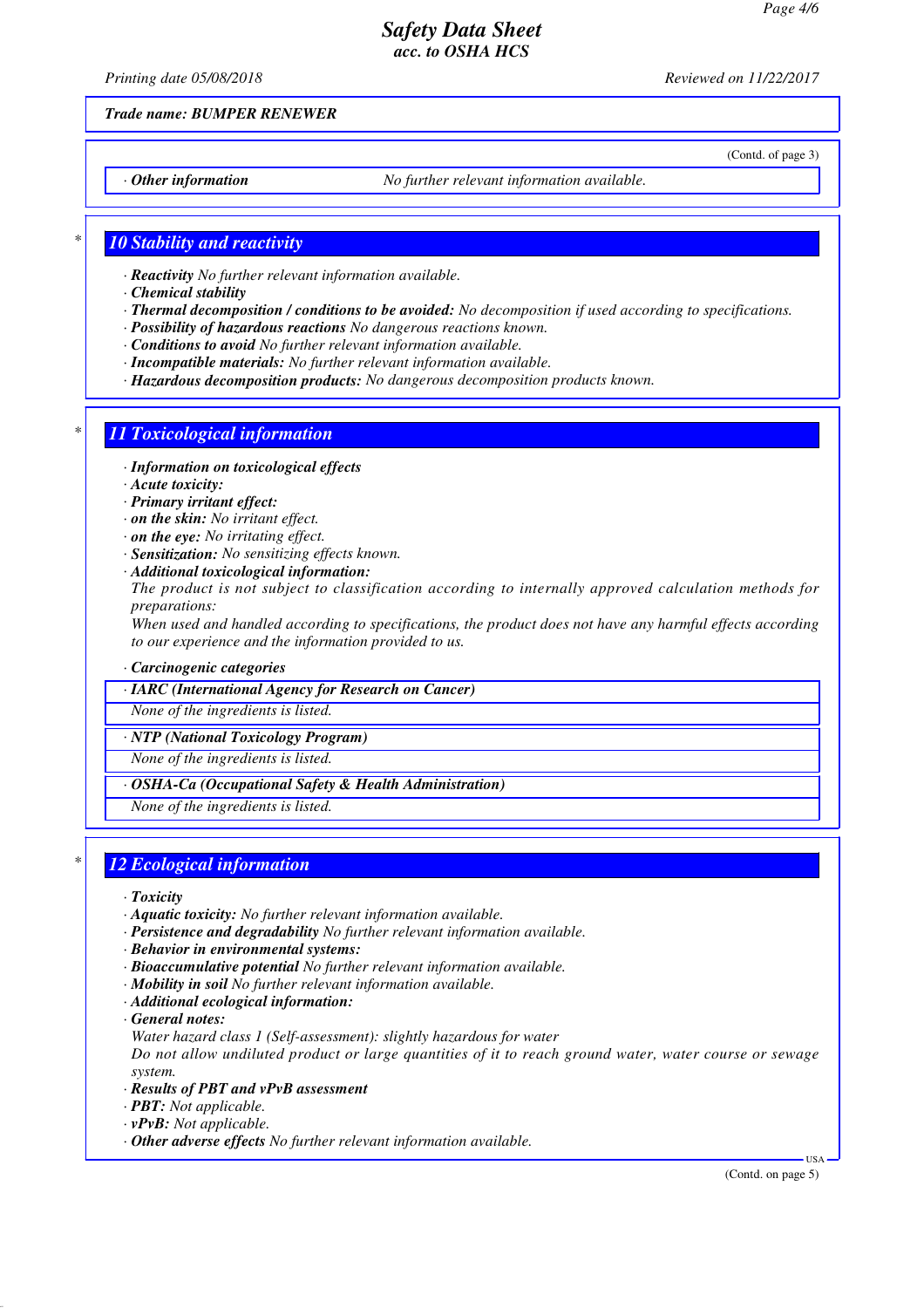*Printing date 05/08/2018 Reviewed on 11/22/2017*

(Contd. of page 3)

*Trade name: BUMPER RENEWER*

*· Other information No further relevant information available.*

### *\* 10 Stability and reactivity*

- *· Reactivity No further relevant information available.*
- *· Chemical stability*
- *· Thermal decomposition / conditions to be avoided: No decomposition if used according to specifications.*
- *· Possibility of hazardous reactions No dangerous reactions known.*
- *· Conditions to avoid No further relevant information available.*
- *· Incompatible materials: No further relevant information available.*
- *· Hazardous decomposition products: No dangerous decomposition products known.*

# *\* 11 Toxicological information*

- *· Information on toxicological effects*
- *· Acute toxicity:*
- *· Primary irritant effect:*
- *· on the skin: No irritant effect.*
- *· on the eye: No irritating effect.*
- *· Sensitization: No sensitizing effects known.*
- *· Additional toxicological information:*

*The product is not subject to classification according to internally approved calculation methods for preparations:*

*When used and handled according to specifications, the product does not have any harmful effects according to our experience and the information provided to us.*

#### *· Carcinogenic categories*

*· IARC (International Agency for Research on Cancer)*

*None of the ingredients is listed.*

*· NTP (National Toxicology Program)*

*None of the ingredients is listed.*

*· OSHA-Ca (Occupational Safety & Health Administration)*

*None of the ingredients is listed.*

## *\* 12 Ecological information*

*· Toxicity*

- *· Aquatic toxicity: No further relevant information available.*
- *· Persistence and degradability No further relevant information available.*
- *· Behavior in environmental systems:*
- *· Bioaccumulative potential No further relevant information available.*
- *· Mobility in soil No further relevant information available.*
- *· Additional ecological information:*
- *· General notes:*
- *Water hazard class 1 (Self-assessment): slightly hazardous for water*

*Do not allow undiluted product or large quantities of it to reach ground water, water course or sewage system.*

- *· Results of PBT and vPvB assessment*
- *· PBT: Not applicable.*
- *· vPvB: Not applicable.*
- *· Other adverse effects No further relevant information available.*

(Contd. on page 5)

USA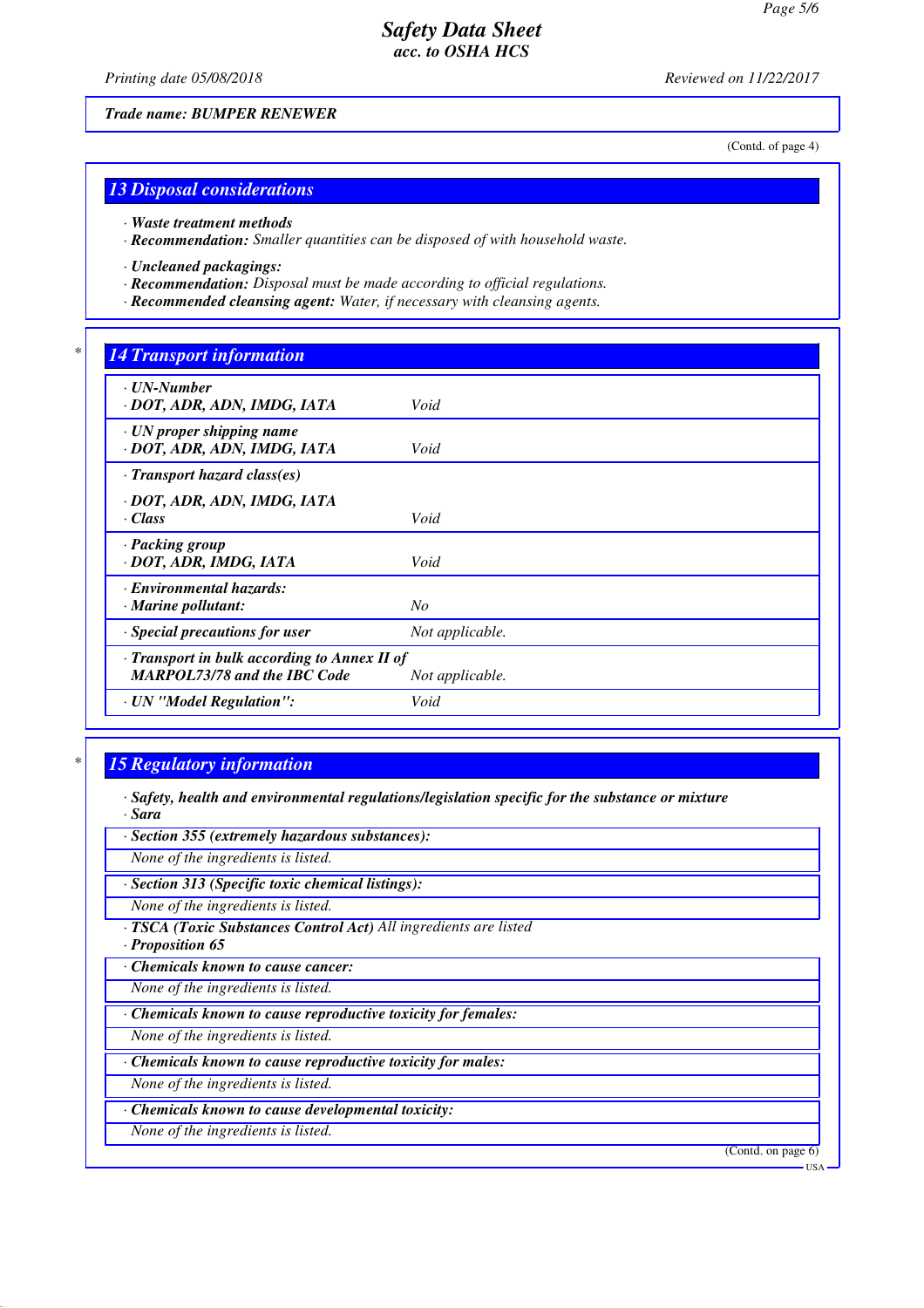*Printing date 05/08/2018 Reviewed on 11/22/2017*

(Contd. of page 4)

# *13 Disposal considerations*

*Trade name: BUMPER RENEWER*

*· Waste treatment methods*

*· Recommendation: Smaller quantities can be disposed of with household waste.*

*· Uncleaned packagings:*

- *· Recommendation: Disposal must be made according to official regulations.*
- *· Recommended cleansing agent: Water, if necessary with cleansing agents.*

## *\* 14 Transport information*

| Void                                                            |
|-----------------------------------------------------------------|
| Void                                                            |
|                                                                 |
| Void                                                            |
| Void                                                            |
| $N_{O}$                                                         |
| Not applicable.                                                 |
| · Transport in bulk according to Annex II of<br>Not applicable. |
| Void                                                            |
|                                                                 |

## *\* 15 Regulatory information*

- *· Safety, health and environmental regulations/legislation specific for the substance or mixture · Sara*
- *· Section 355 (extremely hazardous substances):*

*None of the ingredients is listed.*

*· Section 313 (Specific toxic chemical listings):*

*None of the ingredients is listed.*

*· TSCA (Toxic Substances Control Act) All ingredients are listed*

*· Proposition 65*

*· Chemicals known to cause cancer:*

*None of the ingredients is listed.*

*· Chemicals known to cause reproductive toxicity for females:*

*None of the ingredients is listed.*

*· Chemicals known to cause reproductive toxicity for males:*

*None of the ingredients is listed.*

*· Chemicals known to cause developmental toxicity:*

*None of the ingredients is listed.*

(Contd. on page 6)

**TISA**